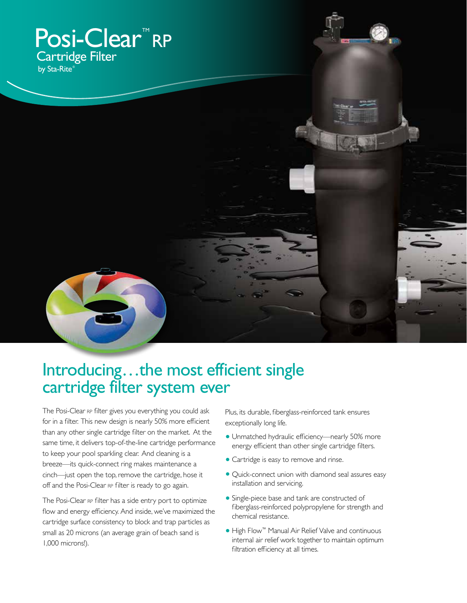

### Introducing...the most efficient single cartridge filter system ever

The Posi-Clear RP filter gives you everything you could ask for in a filter. This new design is nearly 50% more efficient than any other single cartridge filter on the market. At the same time, it delivers top-of-the-line cartridge performance to keep your pool sparkling clear. And cleaning is a breeze—its quick-connect ring makes maintenance a cinch—just open the top, remove the cartridge, hose it off and the Posi-Clear RP filter is ready to go again.

The Posi-Clear RP filter has a side entry port to optimize flow and energy efficiency. And inside, we've maximized the cartridge surface consistency to block and trap particles as small as 20 microns (an average grain of beach sand is 1,000 microns!).

Plus, its durable, fiberglass-reinforced tank ensures exceptionally long life.

- **•** Unmatched hydraulic efficiency—nearly 50% more energy efficient than other single cartridge filters.
- **•** Cartridge is easy to remove and rinse.
- **•** Quick-connect union with diamond seal assures easy installation and servicing.
- **•** Single-piece base and tank are constructed of fiberglass-reinforced polypropylene for strength and chemical resistance.
- **•** High Flow™ Manual Air Relief Valve and continuous internal air relief work together to maintain optimum filtration efficiency at all times.